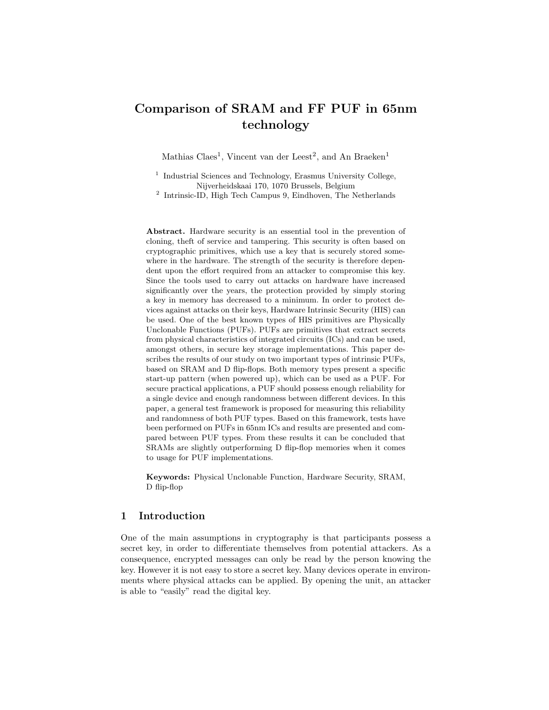# Comparison of SRAM and FF PUF in 65nm technology

Mathias Claes<sup>1</sup>, Vincent van der Leest<sup>2</sup>, and An Braeken<sup>1</sup>

- <sup>1</sup> Industrial Sciences and Technology, Erasmus University College, Nijverheidskaai 170, 1070 Brussels, Belgium
- <sup>2</sup> Intrinsic-ID, High Tech Campus 9, Eindhoven, The Netherlands

Abstract. Hardware security is an essential tool in the prevention of cloning, theft of service and tampering. This security is often based on cryptographic primitives, which use a key that is securely stored somewhere in the hardware. The strength of the security is therefore dependent upon the effort required from an attacker to compromise this key. Since the tools used to carry out attacks on hardware have increased significantly over the years, the protection provided by simply storing a key in memory has decreased to a minimum. In order to protect devices against attacks on their keys, Hardware Intrinsic Security (HIS) can be used. One of the best known types of HIS primitives are Physically Unclonable Functions (PUFs). PUFs are primitives that extract secrets from physical characteristics of integrated circuits (ICs) and can be used, amongst others, in secure key storage implementations. This paper describes the results of our study on two important types of intrinsic PUFs, based on SRAM and D flip-flops. Both memory types present a specific start-up pattern (when powered up), which can be used as a PUF. For secure practical applications, a PUF should possess enough reliability for a single device and enough randomness between different devices. In this paper, a general test framework is proposed for measuring this reliability and randomness of both PUF types. Based on this framework, tests have been performed on PUFs in 65nm ICs and results are presented and compared between PUF types. From these results it can be concluded that SRAMs are slightly outperforming D flip-flop memories when it comes to usage for PUF implementations.

Keywords: Physical Unclonable Function, Hardware Security, SRAM, D flip-flop

## 1 Introduction

One of the main assumptions in cryptography is that participants possess a secret key, in order to differentiate themselves from potential attackers. As a consequence, encrypted messages can only be read by the person knowing the key. However it is not easy to store a secret key. Many devices operate in environments where physical attacks can be applied. By opening the unit, an attacker is able to "easily" read the digital key.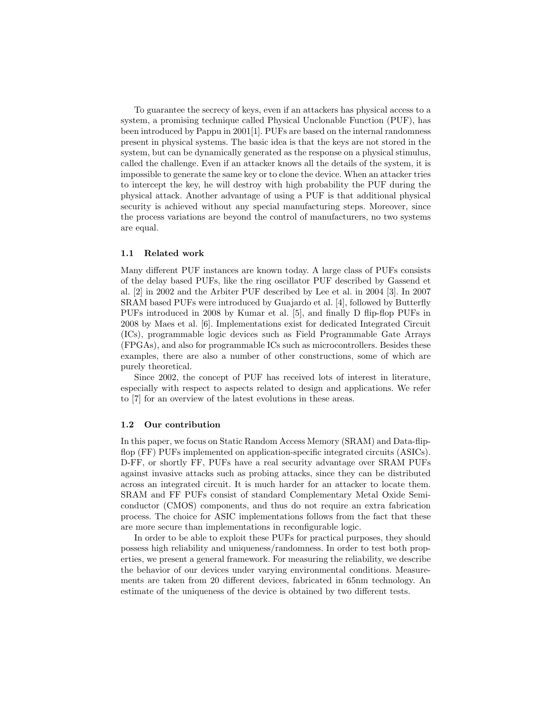To guarantee the secrecy of keys, even if an attackers has physical access to a system, a promising technique called Physical Unclonable Function (PUF), has been introduced by Pappu in 2001[1]. PUFs are based on the internal randomness present in physical systems. The basic idea is that the keys are not stored in the system, but can be dynamically generated as the response on a physical stimulus, called the challenge. Even if an attacker knows all the details of the system, it is impossible to generate the same key or to clone the device. When an attacker tries to intercept the key, he will destroy with high probability the PUF during the physical attack. Another advantage of using a PUF is that additional physical security is achieved without any special manufacturing steps. Moreover, since the process variations are beyond the control of manufacturers, no two systems are equal.

### 1.1 Related work

Many different PUF instances are known today. A large class of PUFs consists of the delay based PUFs, like the ring oscillator PUF described by Gassend et al. [2] in 2002 and the Arbiter PUF described by Lee et al. in 2004 [3]. In 2007 SRAM based PUFs were introduced by Guajardo et al. [4], followed by Butterfly PUFs introduced in 2008 by Kumar et al. [5], and finally D flip-flop PUFs in 2008 by Maes et al. [6]. Implementations exist for dedicated Integrated Circuit (ICs), programmable logic devices such as Field Programmable Gate Arrays (FPGAs), and also for programmable ICs such as microcontrollers. Besides these examples, there are also a number of other constructions, some of which are purely theoretical.

Since 2002, the concept of PUF has received lots of interest in literature, especially with respect to aspects related to design and applications. We refer to [7] for an overview of the latest evolutions in these areas.

## 1.2 Our contribution

In this paper, we focus on Static Random Access Memory (SRAM) and Data-flipflop (FF) PUFs implemented on application-specific integrated circuits (ASICs). D-FF, or shortly FF, PUFs have a real security advantage over SRAM PUFs against invasive attacks such as probing attacks, since they can be distributed across an integrated circuit. It is much harder for an attacker to locate them. SRAM and FF PUFs consist of standard Complementary Metal Oxide Semiconductor (CMOS) components, and thus do not require an extra fabrication process. The choice for ASIC implementations follows from the fact that these are more secure than implementations in reconfigurable logic.

In order to be able to exploit these PUFs for practical purposes, they should possess high reliability and uniqueness/randomness. In order to test both properties, we present a general framework. For measuring the reliability, we describe the behavior of our devices under varying environmental conditions. Measurements are taken from 20 different devices, fabricated in 65nm technology. An estimate of the uniqueness of the device is obtained by two different tests.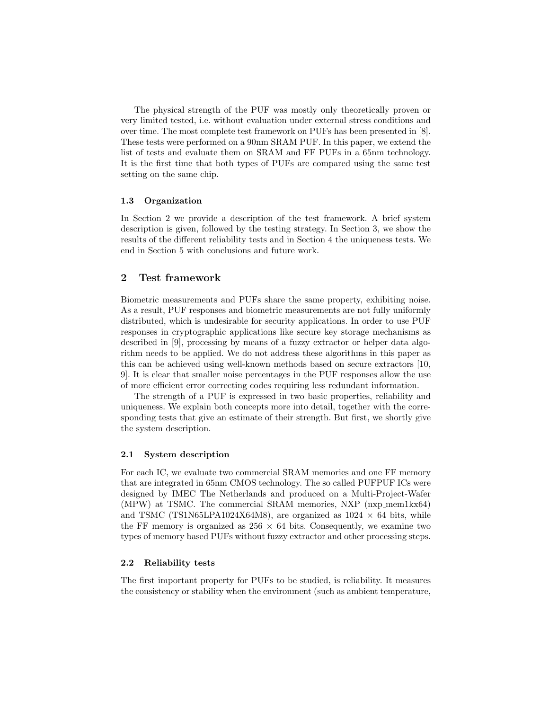The physical strength of the PUF was mostly only theoretically proven or very limited tested, i.e. without evaluation under external stress conditions and over time. The most complete test framework on PUFs has been presented in [8]. These tests were performed on a 90nm SRAM PUF. In this paper, we extend the list of tests and evaluate them on SRAM and FF PUFs in a 65nm technology. It is the first time that both types of PUFs are compared using the same test setting on the same chip.

## 1.3 Organization

In Section 2 we provide a description of the test framework. A brief system description is given, followed by the testing strategy. In Section 3, we show the results of the different reliability tests and in Section 4 the uniqueness tests. We end in Section 5 with conclusions and future work.

# 2 Test framework

Biometric measurements and PUFs share the same property, exhibiting noise. As a result, PUF responses and biometric measurements are not fully uniformly distributed, which is undesirable for security applications. In order to use PUF responses in cryptographic applications like secure key storage mechanisms as described in [9], processing by means of a fuzzy extractor or helper data algorithm needs to be applied. We do not address these algorithms in this paper as this can be achieved using well-known methods based on secure extractors [10, 9]. It is clear that smaller noise percentages in the PUF responses allow the use of more efficient error correcting codes requiring less redundant information.

The strength of a PUF is expressed in two basic properties, reliability and uniqueness. We explain both concepts more into detail, together with the corresponding tests that give an estimate of their strength. But first, we shortly give the system description.

## 2.1 System description

For each IC, we evaluate two commercial SRAM memories and one FF memory that are integrated in 65nm CMOS technology. The so called PUFPUF ICs were designed by IMEC The Netherlands and produced on a Multi-Project-Wafer (MPW) at TSMC. The commercial SRAM memories, NXP (nxp mem1kx64) and TSMC (TS1N65LPA1024X64M8), are organized as  $1024 \times 64$  bits, while the FF memory is organized as  $256 \times 64$  bits. Consequently, we examine two types of memory based PUFs without fuzzy extractor and other processing steps.

### 2.2 Reliability tests

The first important property for PUFs to be studied, is reliability. It measures the consistency or stability when the environment (such as ambient temperature,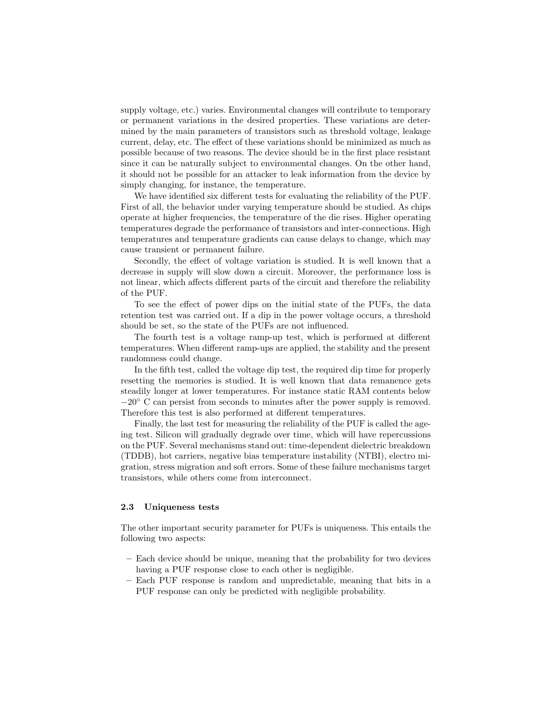supply voltage, etc.) varies. Environmental changes will contribute to temporary or permanent variations in the desired properties. These variations are determined by the main parameters of transistors such as threshold voltage, leakage current, delay, etc. The effect of these variations should be minimized as much as possible because of two reasons. The device should be in the first place resistant since it can be naturally subject to environmental changes. On the other hand, it should not be possible for an attacker to leak information from the device by simply changing, for instance, the temperature.

We have identified six different tests for evaluating the reliability of the PUF. First of all, the behavior under varying temperature should be studied. As chips operate at higher frequencies, the temperature of the die rises. Higher operating temperatures degrade the performance of transistors and inter-connections. High temperatures and temperature gradients can cause delays to change, which may cause transient or permanent failure.

Secondly, the effect of voltage variation is studied. It is well known that a decrease in supply will slow down a circuit. Moreover, the performance loss is not linear, which affects different parts of the circuit and therefore the reliability of the PUF.

To see the effect of power dips on the initial state of the PUFs, the data retention test was carried out. If a dip in the power voltage occurs, a threshold should be set, so the state of the PUFs are not influenced.

The fourth test is a voltage ramp-up test, which is performed at different temperatures. When different ramp-ups are applied, the stability and the present randomness could change.

In the fifth test, called the voltage dip test, the required dip time for properly resetting the memories is studied. It is well known that data remanence gets steadily longer at lower temperatures. For instance static RAM contents below  $-20^\circ$  C can persist from seconds to minutes after the power supply is removed. Therefore this test is also performed at different temperatures.

Finally, the last test for measuring the reliability of the PUF is called the ageing test. Silicon will gradually degrade over time, which will have repercussions on the PUF. Several mechanisms stand out: time-dependent dielectric breakdown (TDDB), hot carriers, negative bias temperature instability (NTBI), electro migration, stress migration and soft errors. Some of these failure mechanisms target transistors, while others come from interconnect.

#### 2.3 Uniqueness tests

The other important security parameter for PUFs is uniqueness. This entails the following two aspects:

- Each device should be unique, meaning that the probability for two devices having a PUF response close to each other is negligible.
- Each PUF response is random and unpredictable, meaning that bits in a PUF response can only be predicted with negligible probability.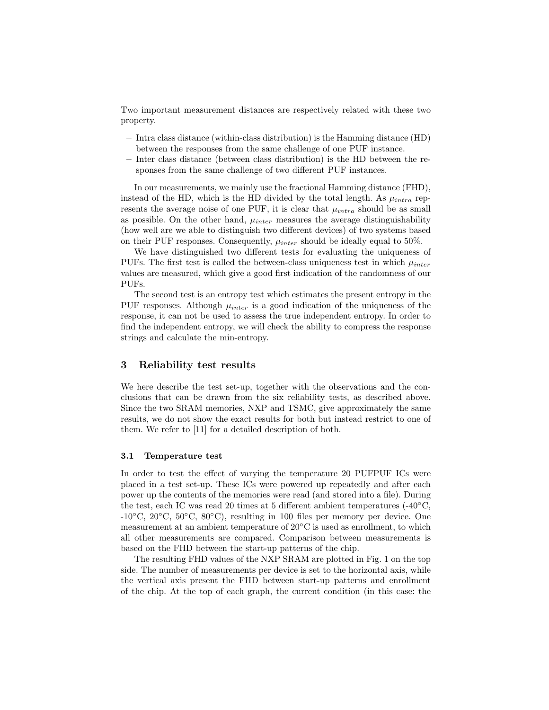Two important measurement distances are respectively related with these two property.

- Intra class distance (within-class distribution) is the Hamming distance (HD) between the responses from the same challenge of one PUF instance.
- Inter class distance (between class distribution) is the HD between the responses from the same challenge of two different PUF instances.

In our measurements, we mainly use the fractional Hamming distance (FHD), instead of the HD, which is the HD divided by the total length. As  $\mu_{intra}$  represents the average noise of one PUF, it is clear that  $\mu_{intra}$  should be as small as possible. On the other hand,  $\mu_{inter}$  measures the average distinguishability (how well are we able to distinguish two different devices) of two systems based on their PUF responses. Consequently,  $\mu_{inter}$  should be ideally equal to 50%.

We have distinguished two different tests for evaluating the uniqueness of PUFs. The first test is called the between-class uniqueness test in which  $\mu_{inter}$ values are measured, which give a good first indication of the randomness of our PUFs.

The second test is an entropy test which estimates the present entropy in the PUF responses. Although  $\mu_{inter}$  is a good indication of the uniqueness of the response, it can not be used to assess the true independent entropy. In order to find the independent entropy, we will check the ability to compress the response strings and calculate the min-entropy.

# 3 Reliability test results

We here describe the test set-up, together with the observations and the conclusions that can be drawn from the six reliability tests, as described above. Since the two SRAM memories, NXP and TSMC, give approximately the same results, we do not show the exact results for both but instead restrict to one of them. We refer to [11] for a detailed description of both.

#### 3.1 Temperature test

In order to test the effect of varying the temperature 20 PUFPUF ICs were placed in a test set-up. These ICs were powered up repeatedly and after each power up the contents of the memories were read (and stored into a file). During the test, each IC was read 20 times at 5 different ambient temperatures (-40◦C, -10◦C, 20◦C, 50◦C, 80◦C), resulting in 100 files per memory per device. One measurement at an ambient temperature of  $20^{\circ}$ C is used as enrollment, to which all other measurements are compared. Comparison between measurements is based on the FHD between the start-up patterns of the chip.

The resulting FHD values of the NXP SRAM are plotted in Fig. 1 on the top side. The number of measurements per device is set to the horizontal axis, while the vertical axis present the FHD between start-up patterns and enrollment of the chip. At the top of each graph, the current condition (in this case: the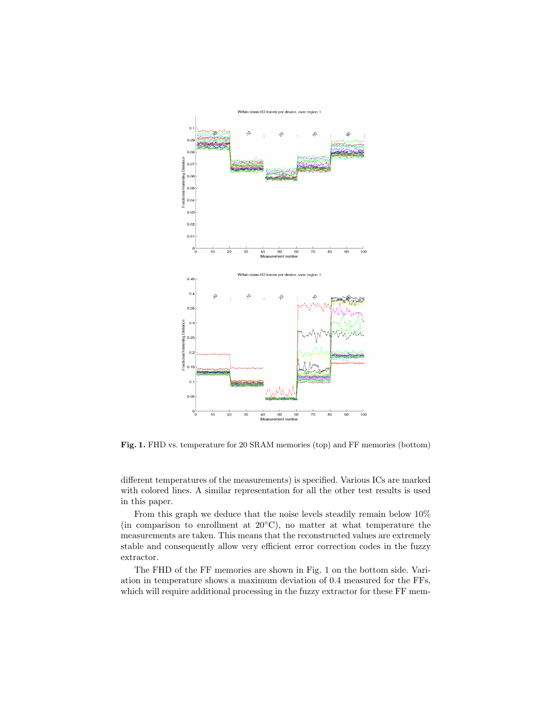

Fig. 1. FHD vs. temperature for 20 SRAM memories (top) and FF memories (bottom)

different temperatures of the measurements) is specified. Various ICs are marked with colored lines. A similar representation for all the other test results is used in this paper.

From this graph we deduce that the noise levels steadily remain below 10% (in comparison to enrollment at 20◦C), no matter at what temperature the measurements are taken. This means that the reconstructed values are extremely stable and consequently allow very efficient error correction codes in the fuzzy extractor.

The FHD of the FF memories are shown in Fig. 1 on the bottom side. Variation in temperature shows a maximum deviation of 0.4 measured for the FFs, which will require additional processing in the fuzzy extractor for these FF mem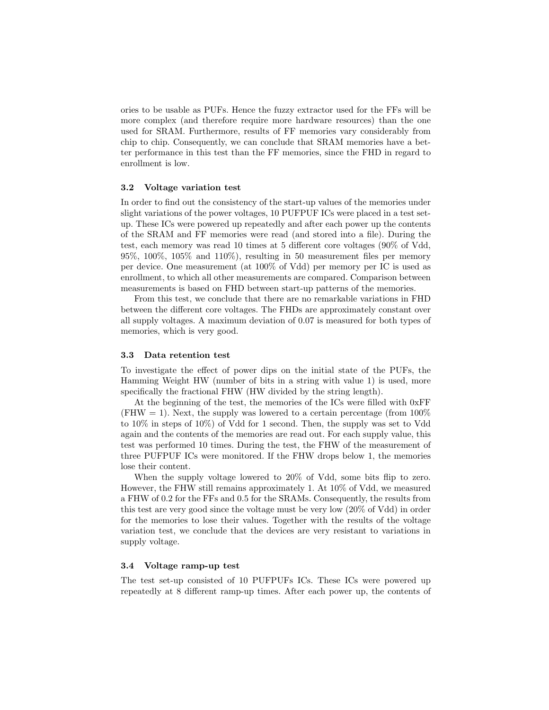ories to be usable as PUFs. Hence the fuzzy extractor used for the FFs will be more complex (and therefore require more hardware resources) than the one used for SRAM. Furthermore, results of FF memories vary considerably from chip to chip. Consequently, we can conclude that SRAM memories have a better performance in this test than the FF memories, since the FHD in regard to enrollment is low.

### 3.2 Voltage variation test

In order to find out the consistency of the start-up values of the memories under slight variations of the power voltages, 10 PUFPUF ICs were placed in a test setup. These ICs were powered up repeatedly and after each power up the contents of the SRAM and FF memories were read (and stored into a file). During the test, each memory was read 10 times at 5 different core voltages (90% of Vdd, 95%, 100%, 105% and 110%), resulting in 50 measurement files per memory per device. One measurement (at 100% of Vdd) per memory per IC is used as enrollment, to which all other measurements are compared. Comparison between measurements is based on FHD between start-up patterns of the memories.

From this test, we conclude that there are no remarkable variations in FHD between the different core voltages. The FHDs are approximately constant over all supply voltages. A maximum deviation of 0.07 is measured for both types of memories, which is very good.

### 3.3 Data retention test

To investigate the effect of power dips on the initial state of the PUFs, the Hamming Weight HW (number of bits in a string with value 1) is used, more specifically the fractional FHW (HW divided by the string length).

At the beginning of the test, the memories of the ICs were filled with 0xFF  $(FHW = 1)$ . Next, the supply was lowered to a certain percentage (from  $100\%$ ) to 10% in steps of 10%) of Vdd for 1 second. Then, the supply was set to Vdd again and the contents of the memories are read out. For each supply value, this test was performed 10 times. During the test, the FHW of the measurement of three PUFPUF ICs were monitored. If the FHW drops below 1, the memories lose their content.

When the supply voltage lowered to 20% of Vdd, some bits flip to zero. However, the FHW still remains approximately 1. At 10% of Vdd, we measured a FHW of 0.2 for the FFs and 0.5 for the SRAMs. Consequently, the results from this test are very good since the voltage must be very low (20% of Vdd) in order for the memories to lose their values. Together with the results of the voltage variation test, we conclude that the devices are very resistant to variations in supply voltage.

### 3.4 Voltage ramp-up test

The test set-up consisted of 10 PUFPUFs ICs. These ICs were powered up repeatedly at 8 different ramp-up times. After each power up, the contents of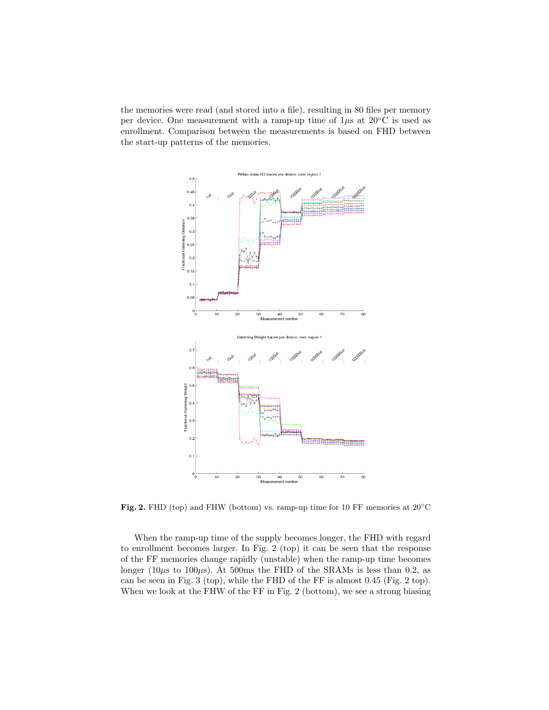the memories were read (and stored into a file), resulting in 80 files per memory per device. One measurement with a ramp-up time of  $1\mu s$  at  $20^{\circ}$ C is used as enrollment. Comparison between the measurements is based on FHD between the start-up patterns of the memories.



Fig. 2. FHD (top) and FHW (bottom) vs. ramp-up time for 10 FF memories at 20◦C

When the ramp-up time of the supply becomes longer, the FHD with regard to enrollment becomes larger. In Fig. 2 (top) it can be seen that the response of the FF memories change rapidly (unstable) when the ramp-up time becomes longer (10 $\mu$ s to 100 $\mu$ s). At 500ms the FHD of the SRAMs is less than 0.2, as can be seen in Fig. 3 (top), while the FHD of the FF is almost 0.45 (Fig. 2 top). When we look at the FHW of the FF in Fig. 2 (bottom), we see a strong biasing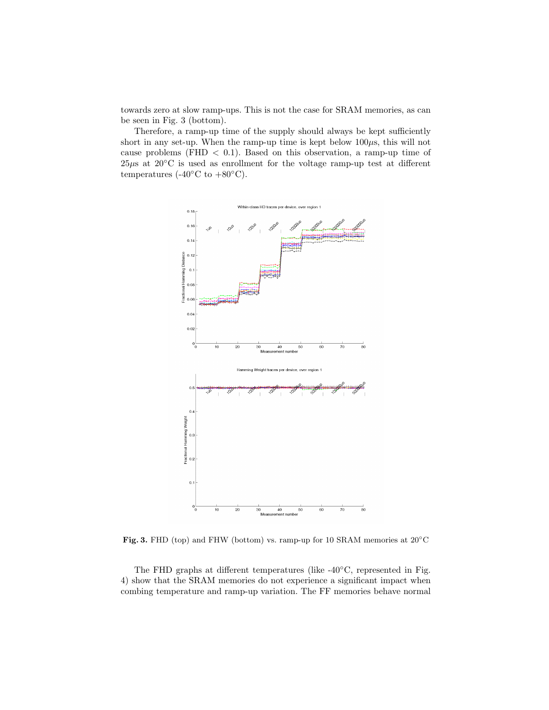towards zero at slow ramp-ups. This is not the case for SRAM memories, as can be seen in Fig. 3 (bottom).

Therefore, a ramp-up time of the supply should always be kept sufficiently short in any set-up. When the ramp-up time is kept below  $100\mu s$ , this will not cause problems (FHD  $<$  0.1). Based on this observation, a ramp-up time of  $25\mu s$  at  $20\textdegree C$  is used as enrollment for the voltage ramp-up test at different temperatures (-40 $\rm{^{\circ}C}$  to +80 $\rm{^{\circ}C}$ ).



Fig. 3. FHD (top) and FHW (bottom) vs. ramp-up for 10 SRAM memories at  $20^{\circ}$ C

The FHD graphs at different temperatures (like -40◦C, represented in Fig. 4) show that the SRAM memories do not experience a significant impact when combing temperature and ramp-up variation. The FF memories behave normal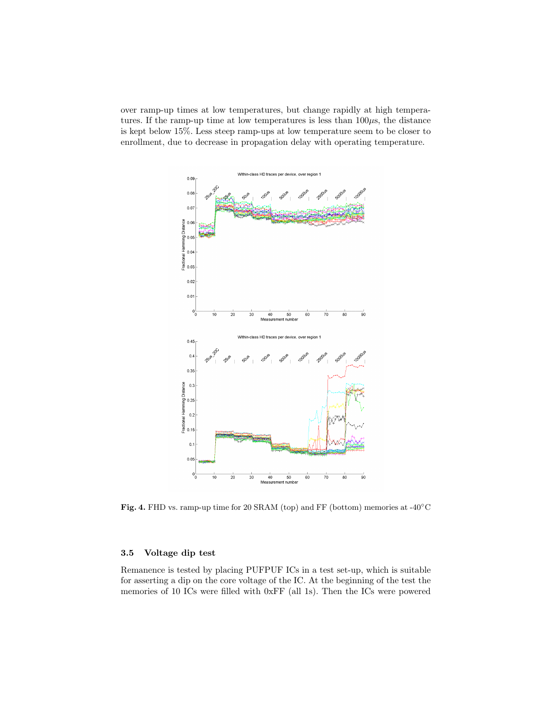over ramp-up times at low temperatures, but change rapidly at high temperatures. If the ramp-up time at low temperatures is less than  $100\mu s$ , the distance is kept below 15%. Less steep ramp-ups at low temperature seem to be closer to enrollment, due to decrease in propagation delay with operating temperature.



Fig. 4. FHD vs. ramp-up time for 20 SRAM (top) and FF (bottom) memories at -40◦C

## 3.5 Voltage dip test

Remanence is tested by placing PUFPUF ICs in a test set-up, which is suitable for asserting a dip on the core voltage of the IC. At the beginning of the test the memories of 10 ICs were filled with 0xFF (all 1s). Then the ICs were powered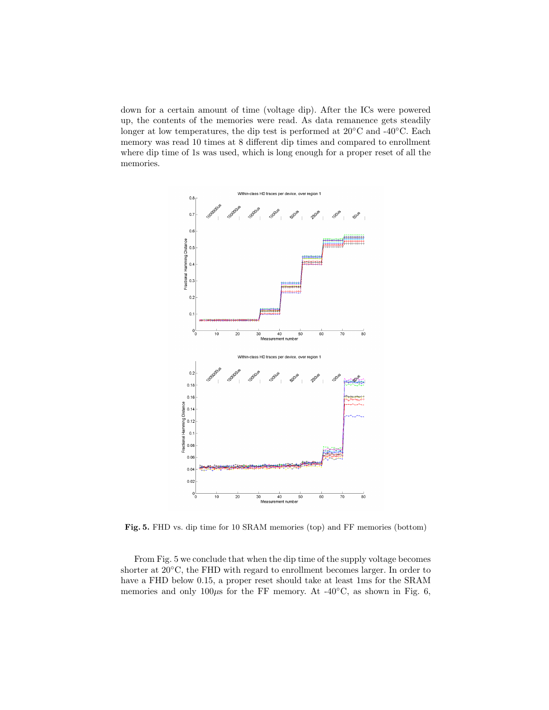down for a certain amount of time (voltage dip). After the ICs were powered up, the contents of the memories were read. As data remanence gets steadily longer at low temperatures, the dip test is performed at 20◦C and -40◦C. Each memory was read 10 times at 8 different dip times and compared to enrollment where dip time of 1s was used, which is long enough for a proper reset of all the memories.



Fig. 5. FHD vs. dip time for 10 SRAM memories (top) and FF memories (bottom)

From Fig. 5 we conclude that when the dip time of the supply voltage becomes shorter at 20◦C, the FHD with regard to enrollment becomes larger. In order to have a FHD below 0.15, a proper reset should take at least 1ms for the SRAM memories and only  $100\mu s$  for the FF memory. At -40 $\degree$ C, as shown in Fig. 6,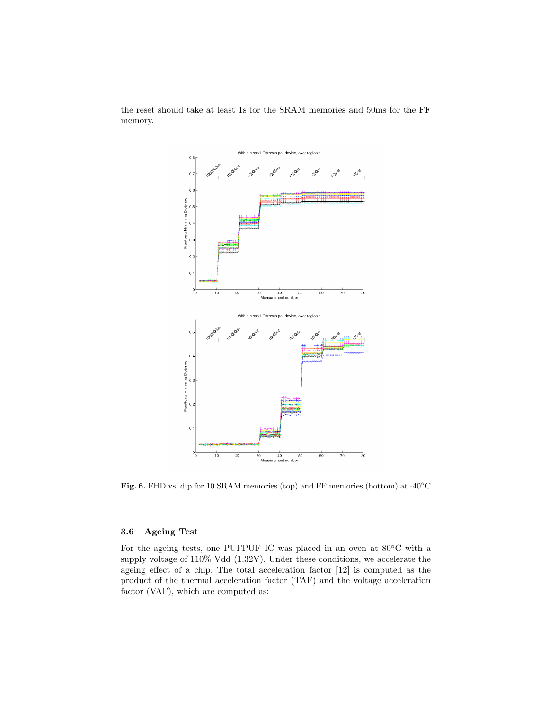

the reset should take at least 1s for the SRAM memories and 50ms for the FF memory.

Fig. 6. FHD vs. dip for 10 SRAM memories (top) and FF memories (bottom) at -40°C

## 3.6 Ageing Test

For the ageing tests, one PUFPUF IC was placed in an oven at 80◦C with a supply voltage of 110% Vdd (1.32V). Under these conditions, we accelerate the ageing effect of a chip. The total acceleration factor [12] is computed as the product of the thermal acceleration factor (TAF) and the voltage acceleration factor (VAF), which are computed as: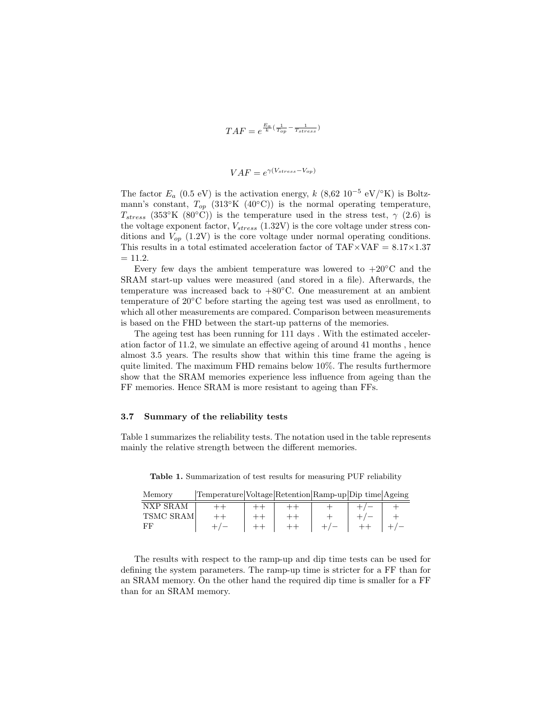$$
TAF = e^{\frac{E_a}{k}(\frac{1}{T_{op}} - \frac{1}{T_{stress}})}
$$

$$
VAF = e^{\gamma(V_{stress} - V_{op})}
$$

The factor  $E_a$  (0.5 eV) is the activation energy, k (8,62 10<sup>-5</sup> eV/ $\rm{^{\circ}K}$ ) is Boltzmann's constant,  $T_{op}$  (313°K (40°C)) is the normal operating temperature,  $T_{stress}$  (353°K (80°C)) is the temperature used in the stress test,  $\gamma$  (2.6) is the voltage exponent factor,  $V_{stress}$  (1.32V) is the core voltage under stress conditions and  $V_{op}$  (1.2V) is the core voltage under normal operating conditions. This results in a total estimated acceleration factor of  $TAF \times VAF = 8.17 \times 1.37$  $= 11.2.$ 

Every few days the ambient temperature was lowered to  $+20\degree$ C and the SRAM start-up values were measured (and stored in a file). Afterwards, the temperature was increased back to  $+80^{\circ}$ C. One measurement at an ambient temperature of 20◦C before starting the ageing test was used as enrollment, to which all other measurements are compared. Comparison between measurements is based on the FHD between the start-up patterns of the memories.

The ageing test has been running for 111 days . With the estimated acceleration factor of 11.2, we simulate an effective ageing of around 41 months , hence almost 3.5 years. The results show that within this time frame the ageing is quite limited. The maximum FHD remains below 10%. The results furthermore show that the SRAM memories experience less influence from ageing than the FF memories. Hence SRAM is more resistant to ageing than FFs.

#### 3.7 Summary of the reliability tests

Table 1 summarizes the reliability tests. The notation used in the table represents mainly the relative strength between the different memories.

| Memory    | Temperature   Voltage   Retention   Ramp-up   Dip time   Ageing |  |  |  |
|-----------|-----------------------------------------------------------------|--|--|--|
| NXP SRAM  |                                                                 |  |  |  |
| TSMC SRAM | ⊥⊥                                                              |  |  |  |
| FF        |                                                                 |  |  |  |

Table 1. Summarization of test results for measuring PUF reliability

The results with respect to the ramp-up and dip time tests can be used for defining the system parameters. The ramp-up time is stricter for a FF than for an SRAM memory. On the other hand the required dip time is smaller for a FF than for an SRAM memory.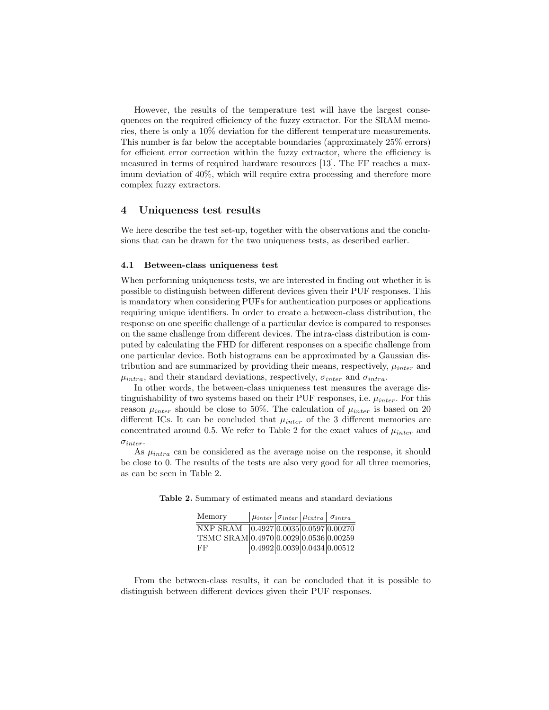However, the results of the temperature test will have the largest consequences on the required efficiency of the fuzzy extractor. For the SRAM memories, there is only a 10% deviation for the different temperature measurements. This number is far below the acceptable boundaries (approximately 25% errors) for efficient error correction within the fuzzy extractor, where the efficiency is measured in terms of required hardware resources [13]. The FF reaches a maximum deviation of 40%, which will require extra processing and therefore more complex fuzzy extractors.

#### 4 Uniqueness test results

We here describe the test set-up, together with the observations and the conclusions that can be drawn for the two uniqueness tests, as described earlier.

#### 4.1 Between-class uniqueness test

When performing uniqueness tests, we are interested in finding out whether it is possible to distinguish between different devices given their PUF responses. This is mandatory when considering PUFs for authentication purposes or applications requiring unique identifiers. In order to create a between-class distribution, the response on one specific challenge of a particular device is compared to responses on the same challenge from different devices. The intra-class distribution is computed by calculating the FHD for different responses on a specific challenge from one particular device. Both histograms can be approximated by a Gaussian distribution and are summarized by providing their means, respectively,  $\mu_{inter}$  and  $\mu_{intra}$ , and their standard deviations, respectively,  $\sigma_{inter}$  and  $\sigma_{intra}$ .

In other words, the between-class uniqueness test measures the average distinguishability of two systems based on their PUF responses, i.e.  $\mu_{inter}$ . For this reason  $\mu_{inter}$  should be close to 50%. The calculation of  $\mu_{inter}$  is based on 20 different ICs. It can be concluded that  $\mu_{inter}$  of the 3 different memories are concentrated around 0.5. We refer to Table 2 for the exact values of  $\mu_{inter}$  and  $\sigma_{inter}$ .

As  $\mu_{intra}$  can be considered as the average noise on the response, it should be close to 0. The results of the tests are also very good for all three memories, as can be seen in Table 2.

Table 2. Summary of estimated means and standard deviations

| Memory                                 |  | $ \mu_{inter} \sigma_{inter} \mu_{intra}  \sigma_{intra}$ |
|----------------------------------------|--|-----------------------------------------------------------|
| NXP SRAM 0.4927 0.0035 0.0597 0.00270  |  |                                                           |
| TSMC SRAM 0.4970 0.0029 0.0536 0.00259 |  |                                                           |
| FF                                     |  | 0.4992 0.0039 0.0434 0.00512                              |

From the between-class results, it can be concluded that it is possible to distinguish between different devices given their PUF responses.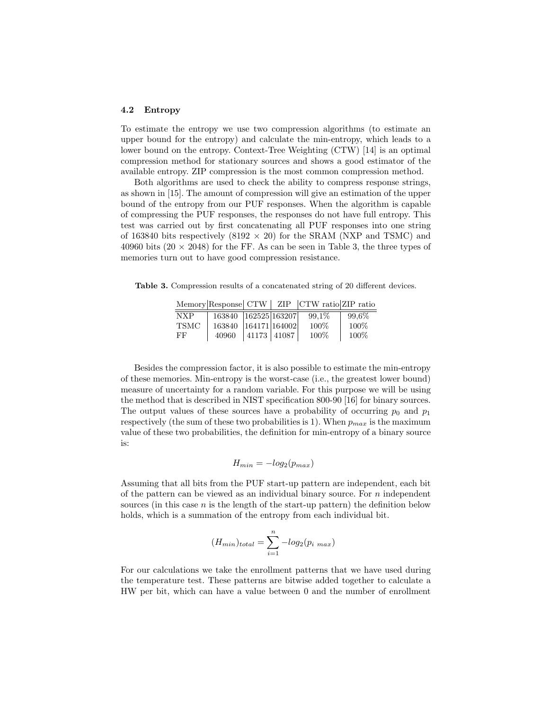#### 4.2 Entropy

To estimate the entropy we use two compression algorithms (to estimate an upper bound for the entropy) and calculate the min-entropy, which leads to a lower bound on the entropy. Context-Tree Weighting (CTW) [14] is an optimal compression method for stationary sources and shows a good estimator of the available entropy. ZIP compression is the most common compression method.

Both algorithms are used to check the ability to compress response strings, as shown in [15]. The amount of compression will give an estimation of the upper bound of the entropy from our PUF responses. When the algorithm is capable of compressing the PUF responses, the responses do not have full entropy. This test was carried out by first concatenating all PUF responses into one string of 163840 bits respectively  $(8192 \times 20)$  for the SRAM (NXP and TSMC) and 40960 bits  $(20 \times 2048)$  for the FF. As can be seen in Table 3, the three types of memories turn out to have good compression resistance.

Table 3. Compression results of a concatenated string of 20 different devices.

Memory Response  $CTW$  ZIP  $CTW$  ratio ZIP ratio

| NXP         | 163840   162525   163207 |               | 99.1\%  | 99.6%   |
|-------------|--------------------------|---------------|---------|---------|
| <b>TSMC</b> | 163840   164171   164002 |               | $100\%$ | $100\%$ |
| FF          | 40960                    | 41173   41087 | 100\%   | $100\%$ |

Besides the compression factor, it is also possible to estimate the min-entropy of these memories. Min-entropy is the worst-case (i.e., the greatest lower bound) measure of uncertainty for a random variable. For this purpose we will be using the method that is described in NIST specification 800-90 [16] for binary sources. The output values of these sources have a probability of occurring  $p_0$  and  $p_1$ respectively (the sum of these two probabilities is 1). When  $p_{max}$  is the maximum value of these two probabilities, the definition for min-entropy of a binary source is:

$$
H_{min} = -log_2(p_{max})
$$

Assuming that all bits from the PUF start-up pattern are independent, each bit of the pattern can be viewed as an individual binary source. For  $n$  independent sources (in this case  $n$  is the length of the start-up pattern) the definition below holds, which is a summation of the entropy from each individual bit.

$$
(H_{min})_{total} = \sum_{i=1}^{n} -log_2(p_{i \ max})
$$

For our calculations we take the enrollment patterns that we have used during the temperature test. These patterns are bitwise added together to calculate a HW per bit, which can have a value between 0 and the number of enrollment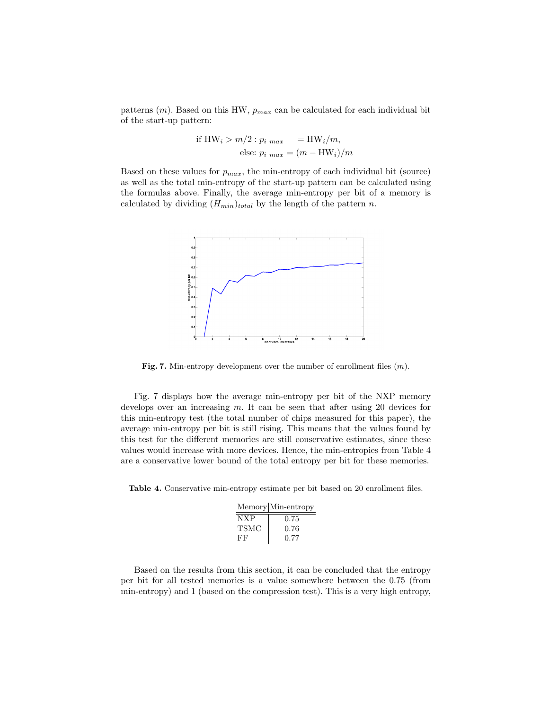patterns  $(m)$ . Based on this HW,  $p_{max}$  can be calculated for each individual bit of the start-up pattern:

if HW<sub>i</sub> > 
$$
m/2
$$
 :  $p_i$  max = HW<sub>i</sub>/m,  
else:  $p_i$  max =  $(m - HW_i)/m$ 

Based on these values for  $p_{max}$ , the min-entropy of each individual bit (source) as well as the total min-entropy of the start-up pattern can be calculated using the formulas above. Finally, the average min-entropy per bit of a memory is calculated by dividing  $(H_{min})_{total}$  by the length of the pattern n.



**Fig. 7.** Min-entropy development over the number of enrollment files  $(m)$ .

Fig. 7 displays how the average min-entropy per bit of the NXP memory develops over an increasing  $m$ . It can be seen that after using 20 devices for this min-entropy test (the total number of chips measured for this paper), the average min-entropy per bit is still rising. This means that the values found by this test for the different memories are still conservative estimates, since these values would increase with more devices. Hence, the min-entropies from Table 4 are a conservative lower bound of the total entropy per bit for these memories.

Table 4. Conservative min-entropy estimate per bit based on 20 enrollment files.

|      | Memory Min-entropy |
|------|--------------------|
| NXP  | 0.75               |
| TSMC | 0.76               |
| FF   | 0.77               |
|      |                    |

Based on the results from this section, it can be concluded that the entropy per bit for all tested memories is a value somewhere between the 0.75 (from min-entropy) and 1 (based on the compression test). This is a very high entropy,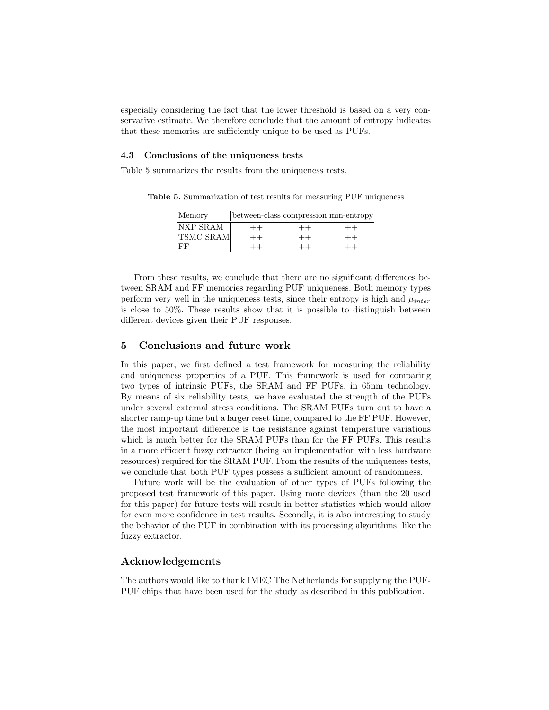especially considering the fact that the lower threshold is based on a very conservative estimate. We therefore conclude that the amount of entropy indicates that these memories are sufficiently unique to be used as PUFs.

#### 4.3 Conclusions of the uniqueness tests

Table 5 summarizes the results from the uniqueness tests.

Table 5. Summarization of test results for measuring PUF uniqueness

| Memory           | between-class compression min-entropy |       |         |
|------------------|---------------------------------------|-------|---------|
| NXP SRAM         | $^{++}$                               | $+ +$ | $^{++}$ |
| <b>TSMC SRAM</b> | $+ +$                                 | $++$  | $^{++}$ |
| FF               | $^{++}$                               | $+ +$ | $^{++}$ |

From these results, we conclude that there are no significant differences between SRAM and FF memories regarding PUF uniqueness. Both memory types perform very well in the uniqueness tests, since their entropy is high and  $\mu_{inter}$ is close to 50%. These results show that it is possible to distinguish between different devices given their PUF responses.

# 5 Conclusions and future work

In this paper, we first defined a test framework for measuring the reliability and uniqueness properties of a PUF. This framework is used for comparing two types of intrinsic PUFs, the SRAM and FF PUFs, in 65nm technology. By means of six reliability tests, we have evaluated the strength of the PUFs under several external stress conditions. The SRAM PUFs turn out to have a shorter ramp-up time but a larger reset time, compared to the FF PUF. However, the most important difference is the resistance against temperature variations which is much better for the SRAM PUFs than for the FF PUFs. This results in a more efficient fuzzy extractor (being an implementation with less hardware resources) required for the SRAM PUF. From the results of the uniqueness tests, we conclude that both PUF types possess a sufficient amount of randomness.

Future work will be the evaluation of other types of PUFs following the proposed test framework of this paper. Using more devices (than the 20 used for this paper) for future tests will result in better statistics which would allow for even more confidence in test results. Secondly, it is also interesting to study the behavior of the PUF in combination with its processing algorithms, like the fuzzy extractor.

# Acknowledgements

The authors would like to thank IMEC The Netherlands for supplying the PUF-PUF chips that have been used for the study as described in this publication.